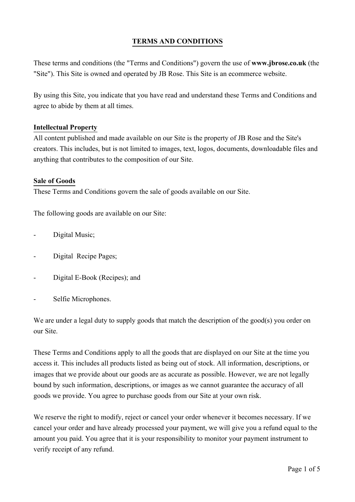# **TERMS AND CONDITIONS**

These terms and conditions (the "Terms and Conditions") govern the use of **www.jbrose.co.uk** (the "Site"). This Site is owned and operated by JB Rose. This Site is an ecommerce website.

By using this Site, you indicate that you have read and understand these Terms and Conditions and agree to abide by them at all times.

#### **Intellectual Property**

All content published and made available on our Site is the property of JB Rose and the Site's creators. This includes, but is not limited to images, text, logos, documents, downloadable files and anything that contributes to the composition of our Site.

#### **Sale of Goods**

These Terms and Conditions govern the sale of goods available on our Site.

The following goods are available on our Site:

- Digital Music;
- Digital Recipe Pages;
- Digital E-Book (Recipes); and
- Selfie Microphones.

We are under a legal duty to supply goods that match the description of the good(s) you order on our Site.

These Terms and Conditions apply to all the goods that are displayed on our Site at the time you access it. This includes all products listed as being out of stock. All information, descriptions, or images that we provide about our goods are as accurate as possible. However, we are not legally bound by such information, descriptions, or images as we cannot guarantee the accuracy of all goods we provide. You agree to purchase goods from our Site at your own risk.

We reserve the right to modify, reject or cancel your order whenever it becomes necessary. If we cancel your order and have already processed your payment, we will give you a refund equal to the amount you paid. You agree that it is your responsibility to monitor your payment instrument to verify receipt of any refund.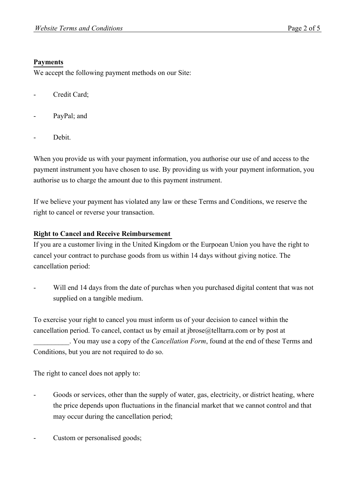# **Payments**

We accept the following payment methods on our Site:

- Credit Card;
- PayPal; and
- Debit.

When you provide us with your payment information, you authorise our use of and access to the payment instrument you have chosen to use. By providing us with your payment information, you authorise us to charge the amount due to this payment instrument.

If we believe your payment has violated any law or these Terms and Conditions, we reserve the right to cancel or reverse your transaction.

# **Right to Cancel and Receive Reimbursement**

If you are a customer living in the United Kingdom or the Eurpoean Union you have the right to cancel your contract to purchase goods from us within 14 days without giving notice. The cancellation period:

Will end 14 days from the date of purchas when you purchased digital content that was not supplied on a tangible medium.

To exercise your right to cancel you must inform us of your decision to cancel within the cancellation period. To cancel, contact us by email at jbrose@telltarra.com or by post at \_\_\_\_\_\_\_\_\_\_. You may use a copy of the *Cancellation Form*, found at the end of these Terms and Conditions, but you are not required to do so.

The right to cancel does not apply to:

- Goods or services, other than the supply of water, gas, electricity, or district heating, where the price depends upon fluctuations in the financial market that we cannot control and that may occur during the cancellation period;
- Custom or personalised goods;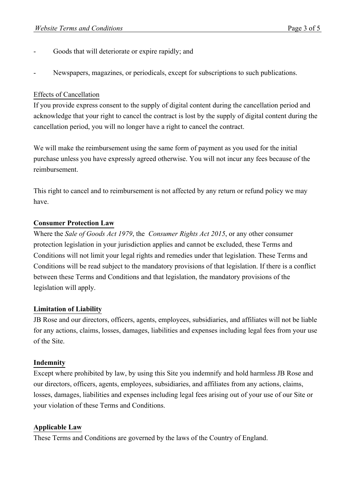- Goods that will deteriorate or expire rapidly; and
- Newspapers, magazines, or periodicals, except for subscriptions to such publications.

### Effects of Cancellation

If you provide express consent to the supply of digital content during the cancellation period and acknowledge that your right to cancel the contract is lost by the supply of digital content during the cancellation period, you will no longer have a right to cancel the contract.

We will make the reimbursement using the same form of payment as you used for the initial purchase unless you have expressly agreed otherwise. You will not incur any fees because of the reimbursement.

This right to cancel and to reimbursement is not affected by any return or refund policy we may have.

### **Consumer Protection Law**

Where the *Sale of Goods Act 1979*, the *Consumer Rights Act 2015*, or any other consumer protection legislation in your jurisdiction applies and cannot be excluded, these Terms and Conditions will not limit your legal rights and remedies under that legislation. These Terms and Conditions will be read subject to the mandatory provisions of that legislation. If there is a conflict between these Terms and Conditions and that legislation, the mandatory provisions of the legislation will apply.

### **Limitation of Liability**

JB Rose and our directors, officers, agents, employees, subsidiaries, and affiliates will not be liable for any actions, claims, losses, damages, liabilities and expenses including legal fees from your use of the Site.

#### **Indemnity**

Except where prohibited by law, by using this Site you indemnify and hold harmless JB Rose and our directors, officers, agents, employees, subsidiaries, and affiliates from any actions, claims, losses, damages, liabilities and expenses including legal fees arising out of your use of our Site or your violation of these Terms and Conditions.

### **Applicable Law**

These Terms and Conditions are governed by the laws of the Country of England.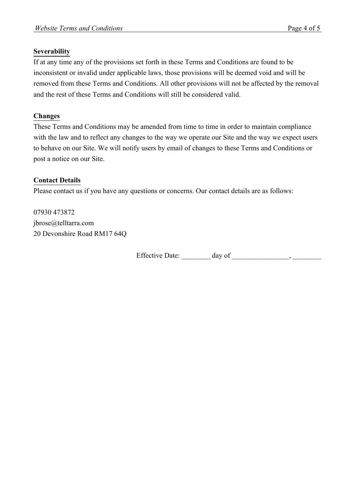### **Severability**

If at any time any of the provisions set forth in these Terms and Conditions are found to be inconsistent or invalid under applicable laws, those provisions will be deemed void and will be removed from these Terms and Conditions. All other provisions will not be affected by the removal and the rest of these Terms and Conditions will still be considered valid.

# **Changes**

These Terms and Conditions may be amended from time to time in order to maintain compliance with the law and to reflect any changes to the way we operate our Site and the way we expect users to behave on our Site. We will notify users by email of changes to these Terms and Conditions or post a notice on our Site.

# **Contact Details**

Please contact us if you have any questions or concerns. Our contact details are as follows:

07930 473872 jbrose@telltarra.com 20 Devonshire Road RM17 64Q

Effective Date: \_\_\_\_\_\_\_\_ day of \_\_\_\_\_\_\_\_\_\_\_\_\_\_\_\_, \_\_\_\_\_\_\_\_